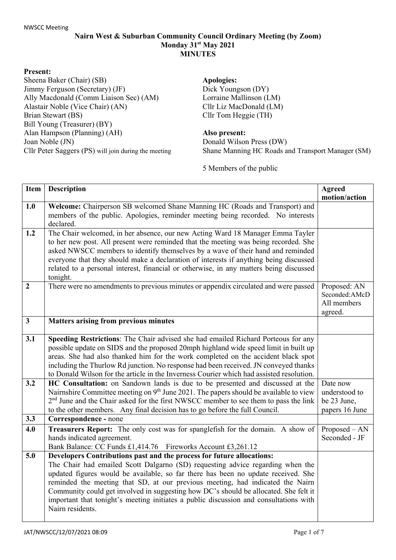## **Nairn West & Suburban Community Council Ordinary Meeting (by Zoom) Monday 31st May 2021 MINUTES**

## **Present:**

Sheena Baker (Chair) (SB) Jimmy Ferguson (Secretary) (JF) Ally Macdonald (Comm Liaison Sec) (AM) Alastair Noble (Vice Chair) (AN) Brian Stewart (BS) Bill Young (Treasurer) (BY) Alan Hampson (Planning) (AH) Joan Noble (JN) Cllr Peter Saggers (PS) will join during the meeting **Apologies:** Dick Youngson (DY) Lorraine Mallinson (LM) Cllr Liz MacDonald (LM) Cllr Tom Heggie (TH)

## **Also present:**

Donald Wilson Press (DW) Shane Manning HC Roads and Transport Manager (SM)

5 Members of the public

| <b>Item</b>    | <b>Description</b>                                                                                                                                                                                                                                                                                                                                                                                                                                                                                                                  | <b>Agreed</b><br>motion/action                             |
|----------------|-------------------------------------------------------------------------------------------------------------------------------------------------------------------------------------------------------------------------------------------------------------------------------------------------------------------------------------------------------------------------------------------------------------------------------------------------------------------------------------------------------------------------------------|------------------------------------------------------------|
| 1.0            | Welcome: Chairperson SB welcomed Shane Manning HC (Roads and Transport) and<br>members of the public. Apologies, reminder meeting being recorded. No interests<br>declared.                                                                                                                                                                                                                                                                                                                                                         |                                                            |
| 1.2            | The Chair welcomed, in her absence, our new Acting Ward 18 Manager Emma Tayler<br>to her new post. All present were reminded that the meeting was being recorded. She<br>asked NWSCC members to identify themselves by a wave of their hand and reminded<br>everyone that they should make a declaration of interests if anything being discussed<br>related to a personal interest, financial or otherwise, in any matters being discussed<br>tonight.                                                                             |                                                            |
| $\overline{2}$ | There were no amendments to previous minutes or appendix circulated and were passed                                                                                                                                                                                                                                                                                                                                                                                                                                                 | Proposed: AN<br>Seconded:AMcD<br>All members<br>agreed.    |
| $\mathbf{3}$   | Matters arising from previous minutes                                                                                                                                                                                                                                                                                                                                                                                                                                                                                               |                                                            |
| 3.1            | Speeding Restrictions: The Chair advised she had emailed Richard Porteous for any<br>possible update on SIDS and the proposed 20mph highland wide speed limit in built up<br>areas. She had also thanked him for the work completed on the accident black spot<br>including the Thurlow Rd junction. No response had been received. JN conveyed thanks<br>to Donald Wilson for the article in the Inverness Courier which had assisted resolution.                                                                                  |                                                            |
| 3.2            | HC Consultation: on Sandown lands is due to be presented and discussed at the<br>Nairnshire Committee meeting on 9 <sup>th</sup> June 2021. The papers should be available to view<br>2 <sup>nd</sup> June and the Chair asked for the first NWSCC member to see them to pass the link<br>to the other members. Any final decision has to go before the full Council.                                                                                                                                                               | Date now<br>understood to<br>be 23 June,<br>papers 16 June |
| 3.3            | Correspondence - none                                                                                                                                                                                                                                                                                                                                                                                                                                                                                                               |                                                            |
| 4.0            | Treasurers Report: The only cost was for spanglefish for the domain. A show of<br>hands indicated agreement.<br>Bank Balance: CC Funds £1,414.76 Fireworks Account £3,261.12                                                                                                                                                                                                                                                                                                                                                        | $Proposed - AN$<br>Seconded - JF                           |
| 5.0            | Developers Contributions past and the process for future allocations:<br>The Chair had emailed Scott Dalgarno (SD) requesting advice regarding when the<br>updated figures would be available, so far there has been no update received. She<br>reminded the meeting that SD, at our previous meeting, had indicated the Nairn<br>Community could get involved in suggesting how DC's should be allocated. She felt it<br>important that tonight's meeting initiates a public discussion and consultations with<br>Nairn residents. |                                                            |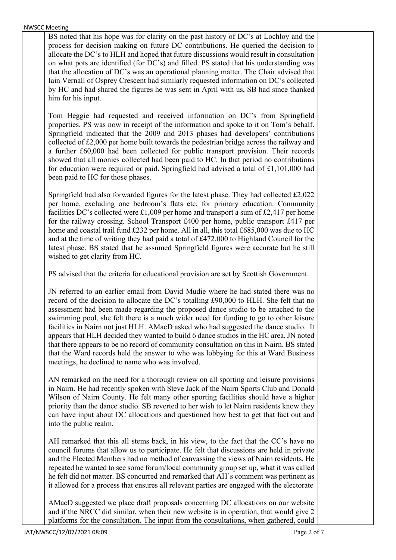NWSCC Meeting

BS noted that his hope was for clarity on the past history of DC's at Lochloy and the process for decision making on future DC contributions. He queried the decision to allocate the DC's to HLH and hoped that future discussions would result in consultation on what pots are identified (for DC's) and filled. PS stated that his understanding was that the allocation of DC's was an operational planning matter. The Chair advised that Iain Vernall of Osprey Crescent had similarly requested information on DC's collected by HC and had shared the figures he was sent in April with us, SB had since thanked him for his input.

Tom Heggie had requested and received information on DC's from Springfield properties. PS was now in receipt of the information and spoke to it on Tom's behalf. Springfield indicated that the 2009 and 2013 phases had developers' contributions collected of £2,000 per home built towards the pedestrian bridge across the railway and a further £60,000 had been collected for public transport provision. Their records showed that all monies collected had been paid to HC. In that period no contributions for education were required or paid. Springfield had advised a total of £1,101,000 had been paid to HC for those phases.

Springfield had also forwarded figures for the latest phase. They had collected £2,022 per home, excluding one bedroom's flats etc, for primary education. Community facilities DC's collected were £1,009 per home and transport a sum of £2,417 per home for the railway crossing. School Transport £400 per home, public transport £417 per home and coastal trail fund £232 per home. All in all, this total £685,000 was due to HC and at the time of writing they had paid a total of £472,000 to Highland Council for the latest phase. BS stated that he assumed Springfield figures were accurate but he still wished to get clarity from HC.

PS advised that the criteria for educational provision are set by Scottish Government.

JN referred to an earlier email from David Mudie where he had stated there was no record of the decision to allocate the DC's totalling £90,000 to HLH. She felt that no assessment had been made regarding the proposed dance studio to be attached to the swimming pool, she felt there is a much wider need for funding to go to other leisure facilities in Nairn not just HLH. AMacD asked who had suggested the dance studio. It appears that HLH decided they wanted to build 6 dance studios in the HC area, JN noted that there appears to be no record of community consultation on this in Nairn. BS stated that the Ward records held the answer to who was lobbying for this at Ward Business meetings, he declined to name who was involved.

AN remarked on the need for a thorough review on all sporting and leisure provisions in Nairn. He had recently spoken with Steve Jack of the Nairn Sports Club and Donald Wilson of Nairn County. He felt many other sporting facilities should have a higher priority than the dance studio. SB reverted to her wish to let Nairn residents know they can have input about DC allocations and questioned how best to get that fact out and into the public realm.

AH remarked that this all stems back, in his view, to the fact that the CC's have no council forums that allow us to participate. He felt that discussions are held in private and the Elected Members had no method of canvassing the views of Nairn residents. He repeated he wanted to see some forum/local community group set up, what it was called he felt did not matter. BS concurred and remarked that AH's comment was pertinent as it allowed for a process that ensures all relevant parties are engaged with the electorate

AMacD suggested we place draft proposals concerning DC allocations on our website and if the NRCC did similar, when their new website is in operation, that would give 2 platforms for the consultation. The input from the consultations, when gathered, could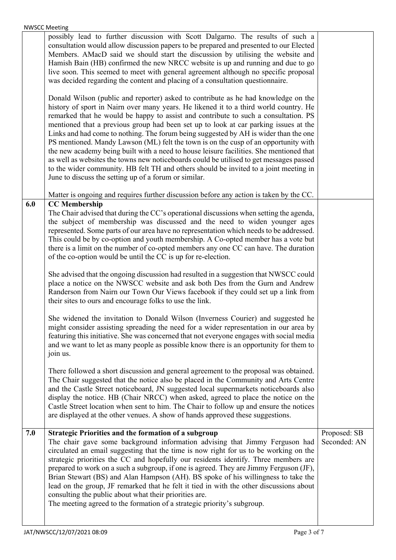|     | possibly lead to further discussion with Scott Dalgarno. The results of such a<br>consultation would allow discussion papers to be prepared and presented to our Elected<br>Members. AMacD said we should start the discussion by utilising the website and<br>Hamish Bain (HB) confirmed the new NRCC website is up and running and due to go<br>live soon. This seemed to meet with general agreement although no specific proposal<br>was decided regarding the content and placing of a consultation questionnaire.                                                                                                                                                                                                                                                                                                                                                           |                              |
|-----|-----------------------------------------------------------------------------------------------------------------------------------------------------------------------------------------------------------------------------------------------------------------------------------------------------------------------------------------------------------------------------------------------------------------------------------------------------------------------------------------------------------------------------------------------------------------------------------------------------------------------------------------------------------------------------------------------------------------------------------------------------------------------------------------------------------------------------------------------------------------------------------|------------------------------|
|     | Donald Wilson (public and reporter) asked to contribute as he had knowledge on the<br>history of sport in Nairn over many years. He likened it to a third world country. He<br>remarked that he would be happy to assist and contribute to such a consultation. PS<br>mentioned that a previous group had been set up to look at car parking issues at the<br>Links and had come to nothing. The forum being suggested by AH is wider than the one<br>PS mentioned. Mandy Lawson (ML) felt the town is on the cusp of an opportunity with<br>the new academy being built with a need to house leisure facilities. She mentioned that<br>as well as websites the towns new noticeboards could be utilised to get messages passed<br>to the wider community. HB felt TH and others should be invited to a joint meeting in<br>June to discuss the setting up of a forum or similar. |                              |
|     | Matter is ongoing and requires further discussion before any action is taken by the CC.                                                                                                                                                                                                                                                                                                                                                                                                                                                                                                                                                                                                                                                                                                                                                                                           |                              |
| 6.0 | <b>CC</b> Membership<br>The Chair advised that during the CC's operational discussions when setting the agenda,<br>the subject of membership was discussed and the need to widen younger ages<br>represented. Some parts of our area have no representation which needs to be addressed.<br>This could be by co-option and youth membership. A Co-opted member has a vote but<br>there is a limit on the number of co-opted members any one CC can have. The duration<br>of the co-option would be until the CC is up for re-election.                                                                                                                                                                                                                                                                                                                                            |                              |
|     | She advised that the ongoing discussion had resulted in a suggestion that NWSCC could<br>place a notice on the NWSCC website and ask both Des from the Gurn and Andrew<br>Randerson from Nairn our Town Our Views facebook if they could set up a link from<br>their sites to ours and encourage folks to use the link.                                                                                                                                                                                                                                                                                                                                                                                                                                                                                                                                                           |                              |
|     | She widened the invitation to Donald Wilson (Inverness Courier) and suggested he<br>might consider assisting spreading the need for a wider representation in our area by<br>featuring this initiative. She was concerned that not everyone engages with social media<br>and we want to let as many people as possible know there is an opportunity for them to<br>join us.                                                                                                                                                                                                                                                                                                                                                                                                                                                                                                       |                              |
|     | There followed a short discussion and general agreement to the proposal was obtained.<br>The Chair suggested that the notice also be placed in the Community and Arts Centre<br>and the Castle Street noticeboard, JN suggested local supermarkets noticeboards also<br>display the notice. HB (Chair NRCC) when asked, agreed to place the notice on the<br>Castle Street location when sent to him. The Chair to follow up and ensure the notices<br>are displayed at the other venues. A show of hands approved these suggestions.                                                                                                                                                                                                                                                                                                                                             |                              |
| 7.0 | <b>Strategic Priorities and the formation of a subgroup</b><br>The chair gave some background information advising that Jimmy Ferguson had<br>circulated an email suggesting that the time is now right for us to be working on the<br>strategic priorities the CC and hopefully our residents identify. Three members are<br>prepared to work on a such a subgroup, if one is agreed. They are Jimmy Ferguson (JF),<br>Brian Stewart (BS) and Alan Hampson (AH). BS spoke of his willingness to take the<br>lead on the group, JF remarked that he felt it tied in with the other discussions about<br>consulting the public about what their priorities are.<br>The meeting agreed to the formation of a strategic priority's subgroup.                                                                                                                                         | Proposed: SB<br>Seconded: AN |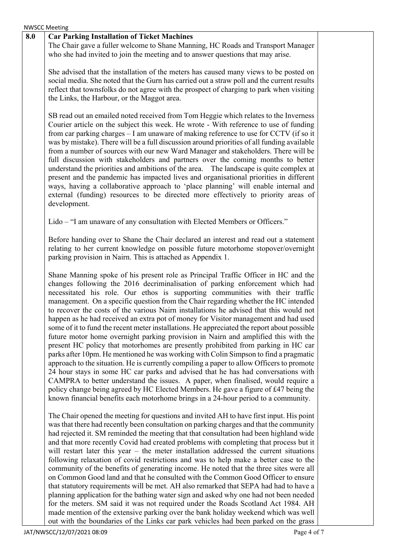|     | <b>NWSCC Meeting</b>                                                                                                                                                                                                                                                                                                                                                                                                                                                                                                                                                                                                                                                                                                                                                                                                                                                                                                                                                                                                                                                                                                                                                                                                                                                                                                                              |
|-----|---------------------------------------------------------------------------------------------------------------------------------------------------------------------------------------------------------------------------------------------------------------------------------------------------------------------------------------------------------------------------------------------------------------------------------------------------------------------------------------------------------------------------------------------------------------------------------------------------------------------------------------------------------------------------------------------------------------------------------------------------------------------------------------------------------------------------------------------------------------------------------------------------------------------------------------------------------------------------------------------------------------------------------------------------------------------------------------------------------------------------------------------------------------------------------------------------------------------------------------------------------------------------------------------------------------------------------------------------|
| 8.0 | <b>Car Parking Installation of Ticket Machines</b><br>The Chair gave a fuller welcome to Shane Manning, HC Roads and Transport Manager<br>who she had invited to join the meeting and to answer questions that may arise.                                                                                                                                                                                                                                                                                                                                                                                                                                                                                                                                                                                                                                                                                                                                                                                                                                                                                                                                                                                                                                                                                                                         |
|     | She advised that the installation of the meters has caused many views to be posted on<br>social media. She noted that the Gurn has carried out a straw poll and the current results<br>reflect that townsfolks do not agree with the prospect of charging to park when visiting<br>the Links, the Harbour, or the Maggot area.                                                                                                                                                                                                                                                                                                                                                                                                                                                                                                                                                                                                                                                                                                                                                                                                                                                                                                                                                                                                                    |
|     | SB read out an emailed noted received from Tom Heggie which relates to the Inverness<br>Courier article on the subject this week. He wrote - With reference to use of funding<br>from car parking charges - I am unaware of making reference to use for CCTV (if so it<br>was by mistake). There will be a full discussion around priorities of all funding available<br>from a number of sources with our new Ward Manager and stakeholders. There will be<br>full discussion with stakeholders and partners over the coming months to better<br>understand the priorities and ambitions of the area. The landscape is quite complex at<br>present and the pandemic has impacted lives and organisational priorities in different<br>ways, having a collaborative approach to 'place planning' will enable internal and<br>external (funding) resources to be directed more effectively to priority areas of<br>development.                                                                                                                                                                                                                                                                                                                                                                                                                     |
|     | Lido – "I am unaware of any consultation with Elected Members or Officers."                                                                                                                                                                                                                                                                                                                                                                                                                                                                                                                                                                                                                                                                                                                                                                                                                                                                                                                                                                                                                                                                                                                                                                                                                                                                       |
|     | Before handing over to Shane the Chair declared an interest and read out a statement<br>relating to her current knowledge on possible future motorhome stopover/overnight<br>parking provision in Nairn. This is attached as Appendix 1.                                                                                                                                                                                                                                                                                                                                                                                                                                                                                                                                                                                                                                                                                                                                                                                                                                                                                                                                                                                                                                                                                                          |
|     | Shane Manning spoke of his present role as Principal Traffic Officer in HC and the<br>changes following the 2016 decriminalisation of parking enforcement which had<br>necessitated his role. Our ethos is supporting communities with their traffic<br>management. On a specific question from the Chair regarding whether the HC intended<br>to recover the costs of the various Nairn installations he advised that this would not<br>happen as he had received an extra pot of money for Visitor management and had used<br>some of it to fund the recent meter installations. He appreciated the report about possible<br>future motor home overnight parking provision in Nairn and amplified this with the<br>present HC policy that motorhomes are presently prohibited from parking in HC car<br>parks after 10pm. He mentioned he was working with Colin Simpson to find a pragmatic<br>approach to the situation. He is currently compiling a paper to allow Officers to promote<br>24 hour stays in some HC car parks and advised that he has had conversations with<br>CAMPRA to better understand the issues. A paper, when finalised, would require a<br>policy change being agreed by HC Elected Members. He gave a figure of £47 being the<br>known financial benefits each motorhome brings in a 24-hour period to a community. |
|     | The Chair opened the meeting for questions and invited AH to have first input. His point<br>was that there had recently been consultation on parking charges and that the community<br>had rejected it. SM reminded the meeting that that consultation had been highland wide<br>and that more recently Covid had created problems with completing that process but it<br>will restart later this year $-$ the meter installation addressed the current situations<br>following relaxation of covid restrictions and was to help make a better case to the<br>community of the benefits of generating income. He noted that the three sites were all<br>on Common Good land and that he consulted with the Common Good Officer to ensure<br>that statutory requirements will be met. AH also remarked that SEPA had had to have a<br>planning application for the bathing water sign and asked why one had not been needed<br>for the meters. SM said it was not required under the Roads Scotland Act 1984. AH<br>made mention of the extensive parking over the bank holiday weekend which was well                                                                                                                                                                                                                                             |
|     | out with the boundaries of the Links car park vehicles had been parked on the grass                                                                                                                                                                                                                                                                                                                                                                                                                                                                                                                                                                                                                                                                                                                                                                                                                                                                                                                                                                                                                                                                                                                                                                                                                                                               |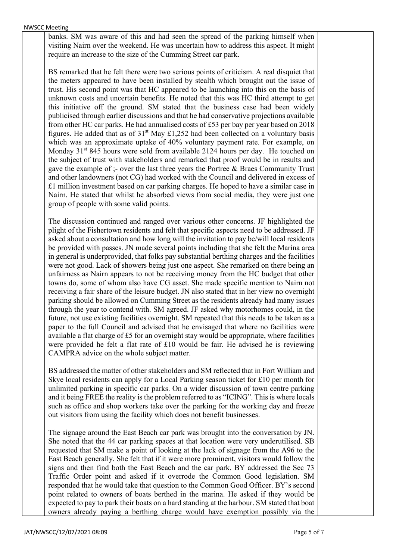banks. SM was aware of this and had seen the spread of the parking himself when visiting Nairn over the weekend. He was uncertain how to address this aspect. It might require an increase to the size of the Cumming Street car park.

BS remarked that he felt there were two serious points of criticism. A real disquiet that the meters appeared to have been installed by stealth which brought out the issue of trust. His second point was that HC appeared to be launching into this on the basis of unknown costs and uncertain benefits. He noted that this was HC third attempt to get this initiative off the ground. SM stated that the business case had been widely publicised through earlier discussions and that he had conservative projections available from other HC car parks. He had annualised costs of £53 per bay per year based on 2018 figures. He added that as of  $31<sup>st</sup>$  May £1,252 had been collected on a voluntary basis which was an approximate uptake of 40% voluntary payment rate. For example, on Monday 31<sup>st</sup> 845 hours were sold from available 2124 hours per day. He touched on the subject of trust with stakeholders and remarked that proof would be in results and gave the example of ;- over the last three years the Portree & Braes Community Trust and other landowners (not CG) had worked with the Council and delivered in excess of £1 million investment based on car parking charges. He hoped to have a similar case in Nairn. He stated that whilst he absorbed views from social media, they were just one group of people with some valid points.

The discussion continued and ranged over various other concerns. JF highlighted the plight of the Fishertown residents and felt that specific aspects need to be addressed. JF asked about a consultation and how long will the invitation to pay be/will local residents be provided with passes. JN made several points including that she felt the Marina area in general is underprovided, that folks pay substantial berthing charges and the facilities were not good. Lack of showers being just one aspect. She remarked on there being an unfairness as Nairn appears to not be receiving money from the HC budget that other towns do, some of whom also have CG asset. She made specific mention to Nairn not receiving a fair share of the leisure budget. JN also stated that in her view no overnight parking should be allowed on Cumming Street as the residents already had many issues through the year to contend with. SM agreed. JF asked why motorhomes could, in the future, not use existing facilities overnight. SM repeated that this needs to be taken as a paper to the full Council and advised that he envisaged that where no facilities were available a flat charge of  $£5$  for an overnight stay would be appropriate, where facilities were provided he felt a flat rate of £10 would be fair. He advised he is reviewing CAMPRA advice on the whole subject matter.

BS addressed the matter of other stakeholders and SM reflected that in Fort William and Skye local residents can apply for a Local Parking season ticket for £10 per month for unlimited parking in specific car parks. On a wider discussion of town centre parking and it being FREE the reality is the problem referred to as "ICING". This is where locals such as office and shop workers take over the parking for the working day and freeze out visitors from using the facility which does not benefit businesses.

The signage around the East Beach car park was brought into the conversation by JN. She noted that the 44 car parking spaces at that location were very underutilised. SB requested that SM make a point of looking at the lack of signage from the A96 to the East Beach generally. She felt that if it were more prominent, visitors would follow the signs and then find both the East Beach and the car park. BY addressed the Sec 73 Traffic Order point and asked if it overrode the Common Good legislation. SM responded that he would take that question to the Common Good Officer. BY's second point related to owners of boats berthed in the marina. He asked if they would be expected to pay to park their boats on a hard standing at the harbour. SM stated that boat owners already paying a berthing charge would have exemption possibly via the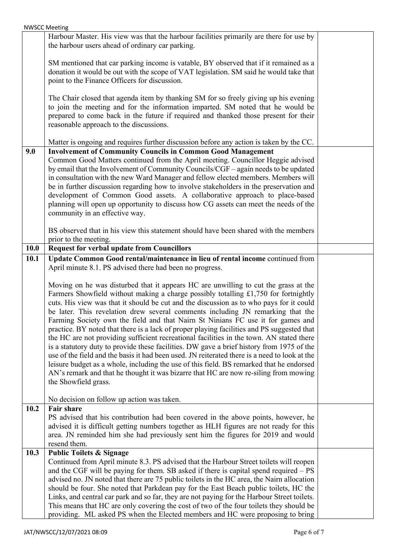|             | <b>NWSCC Meeting</b>                                                                                                                                                                                                                                                                                                                                                                                                                                                                                                                                                                                                                                                                                                                                                                                                                                                                                                                                                                                                                                                                                                                                      |  |
|-------------|-----------------------------------------------------------------------------------------------------------------------------------------------------------------------------------------------------------------------------------------------------------------------------------------------------------------------------------------------------------------------------------------------------------------------------------------------------------------------------------------------------------------------------------------------------------------------------------------------------------------------------------------------------------------------------------------------------------------------------------------------------------------------------------------------------------------------------------------------------------------------------------------------------------------------------------------------------------------------------------------------------------------------------------------------------------------------------------------------------------------------------------------------------------|--|
|             | Harbour Master. His view was that the harbour facilities primarily are there for use by<br>the harbour users ahead of ordinary car parking.                                                                                                                                                                                                                                                                                                                                                                                                                                                                                                                                                                                                                                                                                                                                                                                                                                                                                                                                                                                                               |  |
|             | SM mentioned that car parking income is vatable, BY observed that if it remained as a<br>donation it would be out with the scope of VAT legislation. SM said he would take that<br>point to the Finance Officers for discussion.                                                                                                                                                                                                                                                                                                                                                                                                                                                                                                                                                                                                                                                                                                                                                                                                                                                                                                                          |  |
|             | The Chair closed that agenda item by thanking SM for so freely giving up his evening<br>to join the meeting and for the information imparted. SM noted that he would be<br>prepared to come back in the future if required and thanked those present for their<br>reasonable approach to the discussions.                                                                                                                                                                                                                                                                                                                                                                                                                                                                                                                                                                                                                                                                                                                                                                                                                                                 |  |
|             | Matter is ongoing and requires further discussion before any action is taken by the CC.                                                                                                                                                                                                                                                                                                                                                                                                                                                                                                                                                                                                                                                                                                                                                                                                                                                                                                                                                                                                                                                                   |  |
| 9.0         | <b>Involvement of Community Councils in Common Good Management</b><br>Common Good Matters continued from the April meeting. Councillor Heggie advised<br>by email that the Involvement of Community Councils/CGF - again needs to be updated<br>in consultation with the new Ward Manager and fellow elected members. Members will<br>be in further discussion regarding how to involve stakeholders in the preservation and<br>development of Common Good assets. A collaborative approach to place-based<br>planning will open up opportunity to discuss how CG assets can meet the needs of the<br>community in an effective way.                                                                                                                                                                                                                                                                                                                                                                                                                                                                                                                      |  |
|             | BS observed that in his view this statement should have been shared with the members<br>prior to the meeting.                                                                                                                                                                                                                                                                                                                                                                                                                                                                                                                                                                                                                                                                                                                                                                                                                                                                                                                                                                                                                                             |  |
| <b>10.0</b> | <b>Request for verbal update from Councillors</b>                                                                                                                                                                                                                                                                                                                                                                                                                                                                                                                                                                                                                                                                                                                                                                                                                                                                                                                                                                                                                                                                                                         |  |
| 10.1        | Update Common Good rental/maintenance in lieu of rental income continued from                                                                                                                                                                                                                                                                                                                                                                                                                                                                                                                                                                                                                                                                                                                                                                                                                                                                                                                                                                                                                                                                             |  |
|             | April minute 8.1. PS advised there had been no progress.<br>Moving on he was disturbed that it appears HC are unwilling to cut the grass at the<br>Farmers Showfield without making a charge possibly totalling £1,750 for fortnightly<br>cuts. His view was that it should be cut and the discussion as to who pays for it could<br>be later. This revelation drew several comments including JN remarking that the<br>Farming Society own the field and that Nairn St Ninians FC use it for games and<br>practice. BY noted that there is a lack of proper playing facilities and PS suggested that<br>the HC are not providing sufficient recreational facilities in the town. AN stated there<br>is a statutory duty to provide these facilities. DW gave a brief history from 1975 of the<br>use of the field and the basis it had been used. JN reiterated there is a need to look at the<br>leisure budget as a whole, including the use of this field. BS remarked that he endorsed<br>AN's remark and that he thought it was bizarre that HC are now re-siling from mowing<br>the Showfield grass.<br>No decision on follow up action was taken. |  |
| 10.2        | <b>Fair share</b><br>PS advised that his contribution had been covered in the above points, however, he<br>advised it is difficult getting numbers together as HLH figures are not ready for this<br>area. JN reminded him she had previously sent him the figures for 2019 and would<br>resend them.                                                                                                                                                                                                                                                                                                                                                                                                                                                                                                                                                                                                                                                                                                                                                                                                                                                     |  |
| 10.3        | <b>Public Toilets &amp; Signage</b><br>Continued from April minute 8.3. PS advised that the Harbour Street toilets will reopen<br>and the CGF will be paying for them. SB asked if there is capital spend required $- PS$<br>advised no. JN noted that there are 75 public toilets in the HC area, the Nairn allocation<br>should be four. She noted that Parkdean pay for the East Beach public toilets, HC the<br>Links, and central car park and so far, they are not paying for the Harbour Street toilets.<br>This means that HC are only covering the cost of two of the four toilets they should be<br>providing. ML asked PS when the Elected members and HC were proposing to bring                                                                                                                                                                                                                                                                                                                                                                                                                                                              |  |